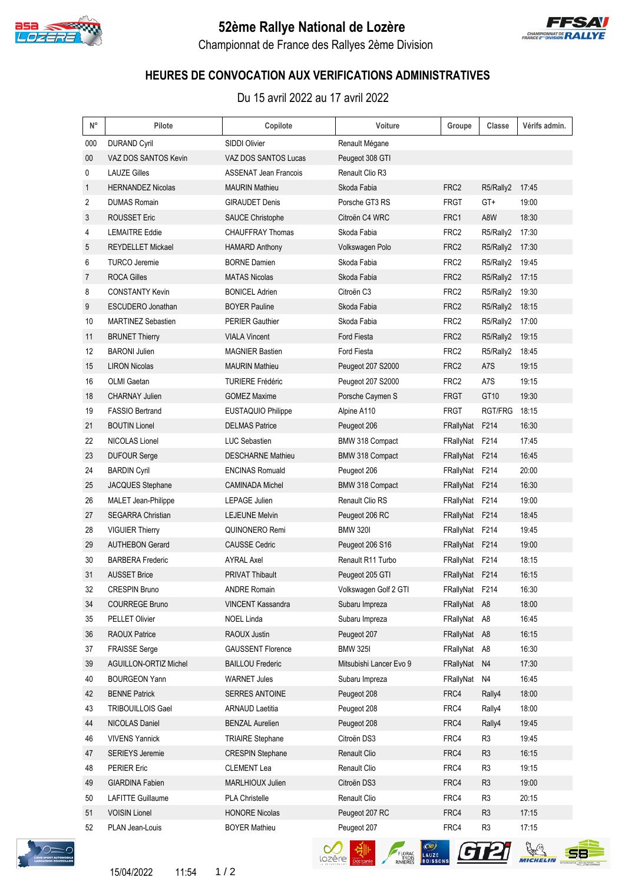

## **52ème Rallye National de Lozère**



Championnat de France des Rallyes 2ème Division

## **HEURES DE CONVOCATION AUX VERIFICATIONS ADMINISTRATIVES**

Du 15 avril 2022 au 17 avril 2022

| $\mathsf{N}^\circ$ | Pilote                     | Copilote                 | Voiture                 | Groupe           | Classe         | Vérifs admin. |
|--------------------|----------------------------|--------------------------|-------------------------|------------------|----------------|---------------|
| 000                | <b>DURAND Cyril</b>        | <b>SIDDI Olivier</b>     | Renault Mégane          |                  |                |               |
| $00\,$             | VAZ DOS SANTOS Kevin       | VAZ DOS SANTOS Lucas     | Peugeot 308 GTI         |                  |                |               |
| 0                  | <b>LAUZE Gilles</b>        | ASSENAT Jean Francois    | Renault Clio R3         |                  |                |               |
| 1                  | <b>HERNANDEZ Nicolas</b>   | <b>MAURIN Mathieu</b>    | Skoda Fabia             | FRC <sub>2</sub> | R5/Rally2      | 17:45         |
| 2                  | <b>DUMAS Romain</b>        | <b>GIRAUDET Denis</b>    | Porsche GT3 RS          | <b>FRGT</b>      | GT+            | 19:00         |
| 3                  | <b>ROUSSET Eric</b>        | <b>SAUCE Christophe</b>  | Citroën C4 WRC          | FRC1             | A8W            | 18:30         |
| 4                  | <b>LEMAITRE Eddie</b>      | <b>CHAUFFRAY Thomas</b>  | Skoda Fabia             | FRC <sub>2</sub> | R5/Rally2      | 17:30         |
| 5                  | <b>REYDELLET Mickael</b>   | <b>HAMARD Anthony</b>    | Volkswagen Polo         | FRC <sub>2</sub> | R5/Rally2      | 17:30         |
| 6                  | <b>TURCO Jeremie</b>       | <b>BORNE Damien</b>      | Skoda Fabia             | FRC2             | R5/Rally2      | 19:45         |
| 7                  | <b>ROCA Gilles</b>         | <b>MATAS Nicolas</b>     | Skoda Fabia             | FRC <sub>2</sub> | R5/Rally2      | 17:15         |
| 8                  | <b>CONSTANTY Kevin</b>     | <b>BONICEL Adrien</b>    | Citroën C <sub>3</sub>  | FRC <sub>2</sub> | R5/Rally2      | 19:30         |
| 9                  | <b>ESCUDERO Jonathan</b>   | <b>BOYER Pauline</b>     | Skoda Fabia             | FRC <sub>2</sub> | R5/Rally2      | 18:15         |
| 10                 | <b>MARTINEZ Sebastien</b>  | <b>PERIER Gauthier</b>   | Skoda Fabia             | FRC <sub>2</sub> | R5/Rally2      | 17:00         |
| 11                 | <b>BRUNET Thierry</b>      | <b>VIALA Vincent</b>     | Ford Fiesta             | FRC <sub>2</sub> | R5/Rally2      | 19:15         |
| 12                 | <b>BARONI</b> Julien       | <b>MAGNIER Bastien</b>   | Ford Fiesta             | FRC <sub>2</sub> | R5/Rally2      | 18:45         |
| 15                 | <b>LIRON Nicolas</b>       | <b>MAURIN Mathieu</b>    | Peugeot 207 S2000       | FRC <sub>2</sub> | A7S            | 19:15         |
| 16                 | <b>OLMI</b> Gaetan         | <b>TURIERE Frédéric</b>  | Peugeot 207 S2000       | FRC <sub>2</sub> | A7S            | 19:15         |
| 18                 | <b>CHARNAY Julien</b>      | <b>GOMEZ Maxime</b>      | Porsche Caymen S        | <b>FRGT</b>      | GT10           | 19:30         |
| 19                 | <b>FASSIO Bertrand</b>     | EUSTAQUIO Philippe       | Alpine A110             | <b>FRGT</b>      | RGT/FRG        | 18:15         |
| 21                 | <b>BOUTIN Lionel</b>       | <b>DELMAS Patrice</b>    | Peugeot 206             | FRallyNat        | F214           | 16:30         |
| 22                 | NICOLAS Lionel             | <b>LUC Sebastien</b>     | BMW 318 Compact         | FRallyNat F214   |                | 17:45         |
| 23                 | <b>DUFOUR Serge</b>        | <b>DESCHARNE Mathieu</b> | BMW 318 Compact         | FRallyNat        | F214           | 16:45         |
| 24                 | <b>BARDIN Cyril</b>        | <b>ENCINAS Romuald</b>   | Peugeot 206             | FRallyNat F214   |                | 20:00         |
| 25                 | JACQUES Stephane           | <b>CAMINADA Michel</b>   | BMW 318 Compact         | FRallyNat F214   |                | 16:30         |
| 26                 | <b>MALET Jean-Philippe</b> | <b>LEPAGE Julien</b>     | Renault Clio RS         | FRallyNat F214   |                | 19:00         |
| 27                 | <b>SEGARRA Christian</b>   | <b>LEJEUNE Melvin</b>    | Peugeot 206 RC          | FRallyNat F214   |                | 18:45         |
| 28                 | <b>VIGUIER Thierry</b>     | QUINONERO Remi           | <b>BMW 3201</b>         | FRallyNat F214   |                | 19:45         |
| 29                 | <b>AUTHEBON Gerard</b>     | <b>CAUSSE Cedric</b>     | Peugeot 206 S16         | FRallyNat F214   |                | 19:00         |
| 30                 | <b>BARBERA Frederic</b>    | <b>AYRAL Axel</b>        | Renault R11 Turbo       | FRallyNat F214   |                | 18:15         |
| 31                 | <b>AUSSET Brice</b>        | <b>PRIVAT Thibault</b>   | Peugeot 205 GTI         | FRallyNat F214   |                | 16:15         |
| 32                 | CRESPIN Bruno              | <b>ANDRE Romain</b>      | Volkswagen Golf 2 GTI   | FRallyNat F214   |                | 16:30         |
| 34                 | <b>COURREGE Bruno</b>      | VINCENT Kassandra        | Subaru Impreza          | FRallyNat A8     |                | 18:00         |
| 35                 | PELLET Olivier             | <b>NOEL Linda</b>        | Subaru Impreza          | FRallyNat        | A8             | 16:45         |
| 36                 | <b>RAOUX Patrice</b>       | RAOUX Justin             | Peugeot 207             | FRallyNat A8     |                | 16:15         |
| 37                 | <b>FRAISSE Serge</b>       | <b>GAUSSENT Florence</b> | <b>BMW 325I</b>         | FRallyNat        | A8             | 16:30         |
| 39                 | AGUILLON-ORTIZ Michel      | <b>BAILLOU Frederic</b>  | Mitsubishi Lancer Evo 9 | FRallyNat        | N <sub>4</sub> | 17:30         |
| 40                 | <b>BOURGEON Yann</b>       | <b>WARNET Jules</b>      | Subaru Impreza          | FRallyNat        | N4             | 16:45         |
| 42                 | <b>BENNE Patrick</b>       | <b>SERRES ANTOINE</b>    | Peugeot 208             | FRC4             | Rally4         | 18:00         |
| 43                 | <b>TRIBOUILLOIS Gael</b>   | <b>ARNAUD Laetitia</b>   | Peugeot 208             | FRC4             | Rally4         | 18:00         |
| 44                 | NICOLAS Daniel             | <b>BENZAL Aurelien</b>   | Peugeot 208             | FRC4             | Rally4         | 19:45         |
| 46                 | <b>VIVENS Yannick</b>      | <b>TRIAIRE Stephane</b>  | Citroën DS3             | FRC4             | R3             | 19:45         |
| 47                 | <b>SERIEYS Jeremie</b>     | <b>CRESPIN Stephane</b>  | Renault Clio            | FRC4             | R <sub>3</sub> | 16:15         |
| 48                 | <b>PERIER Eric</b>         | <b>CLEMENT Lea</b>       | Renault Clio            | FRC4             | R <sub>3</sub> | 19:15         |
| 49                 | <b>GIARDINA Fabien</b>     | MARLHIOUX Julien         | Citroën DS3             | FRC4             | R <sub>3</sub> | 19:00         |
| 50                 | <b>LAFITTE Guillaume</b>   | PLA Christelle           | Renault Clio            | FRC4             | R3             | 20:15         |
| 51                 | <b>VOISIN Lionel</b>       | <b>HONORE Nicolas</b>    | Peugeot 207 RC          | FRC4             | R <sub>3</sub> | 17:15         |
| 52                 | PLAN Jean-Louis            | <b>BOYER Mathieu</b>     | Peugeot 207             | FRC4             | R3             | 17:15         |